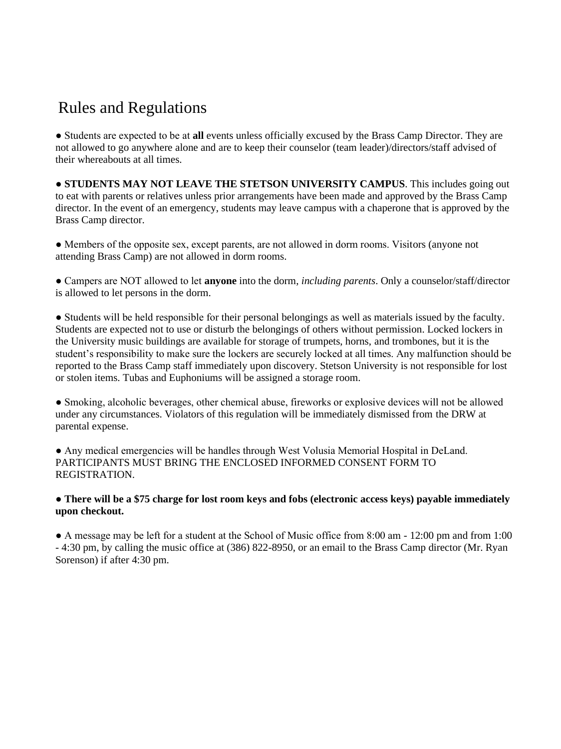## Rules and Regulations

● Students are expected to be at **all** events unless officially excused by the Brass Camp Director. They are not allowed to go anywhere alone and are to keep their counselor (team leader)/directors/staff advised of their whereabouts at all times.

● **STUDENTS MAY NOT LEAVE THE STETSON UNIVERSITY CAMPUS**. This includes going out to eat with parents or relatives unless prior arrangements have been made and approved by the Brass Camp director. In the event of an emergency, students may leave campus with a chaperone that is approved by the Brass Camp director.

● Members of the opposite sex, except parents, are not allowed in dorm rooms. Visitors (anyone not attending Brass Camp) are not allowed in dorm rooms.

● Campers are NOT allowed to let **anyone** into the dorm, *including parents*. Only a counselor/staff/director is allowed to let persons in the dorm.

● Students will be held responsible for their personal belongings as well as materials issued by the faculty. Students are expected not to use or disturb the belongings of others without permission. Locked lockers in the University music buildings are available for storage of trumpets, horns, and trombones, but it is the student's responsibility to make sure the lockers are securely locked at all times. Any malfunction should be reported to the Brass Camp staff immediately upon discovery. Stetson University is not responsible for lost or stolen items. Tubas and Euphoniums will be assigned a storage room.

● Smoking, alcoholic beverages, other chemical abuse, fireworks or explosive devices will not be allowed under any circumstances. Violators of this regulation will be immediately dismissed from the DRW at parental expense.

● Any medical emergencies will be handles through West Volusia Memorial Hospital in DeLand. PARTICIPANTS MUST BRING THE ENCLOSED INFORMED CONSENT FORM TO REGISTRATION.

## ● **There will be a \$75 charge for lost room keys and fobs (electronic access keys) payable immediately upon checkout.**

● A message may be left for a student at the School of Music office from 8:00 am - 12:00 pm and from 1:00 - 4:30 pm, by calling the music office at (386) 822-8950, or an email to the Brass Camp director (Mr. Ryan Sorenson) if after 4:30 pm.